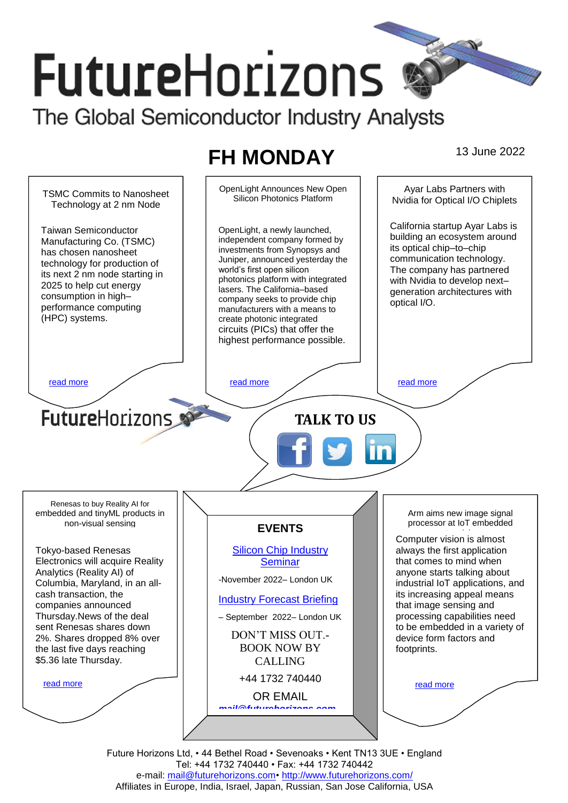# **FutureHorizons** The Global Semiconductor Industry Analysts

## **FH MONDAY** 13 June 2022



Future Horizons Ltd, • 44 Bethel Road • Sevenoaks • Kent TN13 3UE • England Tel: +44 1732 740440 • Fax: +44 1732 740442 e-mail: mail@futurehorizons.com• http://www.futurehorizons.com/ Affiliates in Europe, India, Israel, Japan, Russian, San Jose California, USA